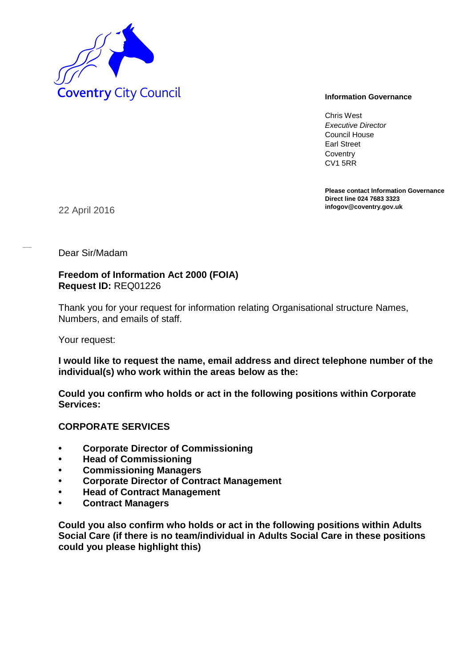

Chris West *Executive Director* Council House Earl Street **Coventry** CV1 5RR

**Please contact Information Governance Direct line 024 7683 3323**

**infogov@coventry.gov.uk** 22 April 2016

Dear Sir/Madam

### **Freedom of Information Act 2000 (FOIA) Request ID:** REQ01226

Thank you for your request for information relating Organisational structure Names, Numbers, and emails of staff.

Your request:

### **I would like to request the name, email address and direct telephone number of the individual(s) who work within the areas below as the:**

**Could you confirm who holds or act in the following positions within Corporate Services:** 

# **CORPORATE SERVICES**

- **Corporate Director of Commissioning**
- **Head of Commissioning**
- **Commissioning Managers**
- **Corporate Director of Contract Management**
- **Head of Contract Management**
- **Contract Managers**

**Could you also confirm who holds or act in the following positions within Adults Social Care (if there is no team/individual in Adults Social Care in these positions could you please highlight this)**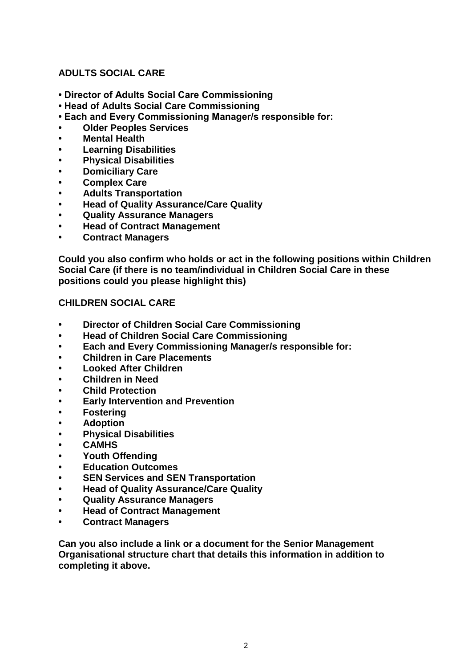# **ADULTS SOCIAL CARE**

- **Director of Adults Social Care Commissioning**
- **Head of Adults Social Care Commissioning**
- **Each and Every Commissioning Manager/s responsible for:**
- **Older Peoples Services**
- **Mental Health**
- **Learning Disabilities**
- **Physical Disabilities**
- **Domiciliary Care**
- **Complex Care**
- **Adults Transportation**
- **Head of Quality Assurance/Care Quality**
- **Quality Assurance Managers**
- **Head of Contract Management**
- **Contract Managers**

**Could you also confirm who holds or act in the following positions within Children Social Care (if there is no team/individual in Children Social Care in these positions could you please highlight this)**

## **CHILDREN SOCIAL CARE**

- **Director of Children Social Care Commissioning**
- **Head of Children Social Care Commissioning**
- **Each and Every Commissioning Manager/s responsible for:**
- **Children in Care Placements**
- **Looked After Children**
- **Children in Need**
- **Child Protection**
- **Early Intervention and Prevention**
- **Fostering**
- **Adoption**
- **Physical Disabilities**
- **CAMHS**
- **Youth Offending**
- **Education Outcomes**
- **SEN Services and SEN Transportation**
- **Head of Quality Assurance/Care Quality**
- **Quality Assurance Managers**
- **Head of Contract Management**
- **Contract Managers**

**Can you also include a link or a document for the Senior Management Organisational structure chart that details this information in addition to completing it above.**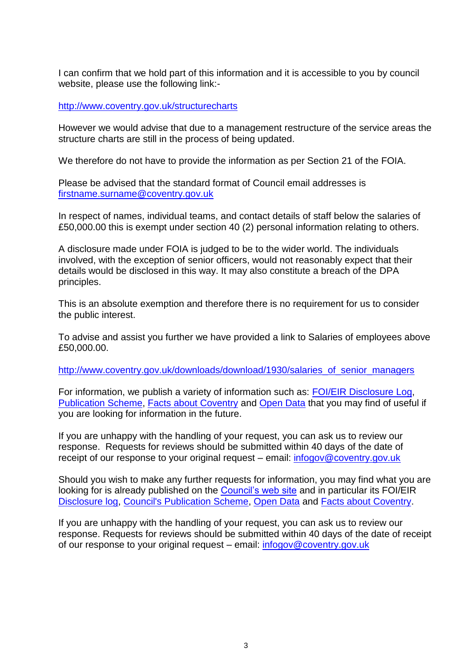I can confirm that we hold part of this information and it is accessible to you by council website, please use the following link:-

<http://www.coventry.gov.uk/structurecharts>

However we would advise that due to a management restructure of the service areas the structure charts are still in the process of being updated.

We therefore do not have to provide the information as per Section 21 of the FOIA.

Please be advised that the standard format of Council email addresses is [firstname.surname@coventry.gov.uk](mailto:firstname.surname@coventry.gov.uk)

In respect of names, individual teams, and contact details of staff below the salaries of £50,000.00 this is exempt under section 40 (2) personal information relating to others.

A disclosure made under FOIA is judged to be to the wider world. The individuals involved, with the exception of senior officers, would not reasonably expect that their details would be disclosed in this way. It may also constitute a breach of the DPA principles.

This is an absolute exemption and therefore there is no requirement for us to consider the public interest.

To advise and assist you further we have provided a link to Salaries of employees above £50,000.00.

[http://www.coventry.gov.uk/downloads/download/1930/salaries\\_of\\_senior\\_managers](http://www.coventry.gov.uk/downloads/download/1930/salaries_of_senior_managers)

For information, we publish a variety of information such as: [FOI/EIR Disclosure Log,](http://www.coventry.gov.uk/foieirrequests) [Publication Scheme,](http://www.coventry.gov.uk/publicationscheme) [Facts about Coventry](http://www.facts-about-coventry.com/) and [Open Data](http://www.coventry.gov.uk/opendata) that you may find of useful if you are looking for information in the future.

If you are unhappy with the handling of your request, you can ask us to review our response. Requests for reviews should be submitted within 40 days of the date of receipt of our response to your original request – email: [infogov@coventry.gov.uk](mailto:infogov@coventry.gov.uk)

Should you wish to make any further requests for information, you may find what you are looking for is already published on the [Council's web site](http://www.coventry.gov.uk/) and in particular its FOI/EIR [Disclosure log,](http://www.coventry.gov.uk/foieirrequests) [Council's Publication Scheme,](http://www.coventry.gov.uk/publicationscheme) [Open Data](http://www.coventry.gov.uk/opendata) and [Facts about Coventry.](http://www.coventry.gov.uk/factsaboutcoventry)

If you are unhappy with the handling of your request, you can ask us to review our response. Requests for reviews should be submitted within 40 days of the date of receipt of our response to your original request – email: [infogov@coventry.gov.uk](mailto:infogov@coventry.gov.uk)